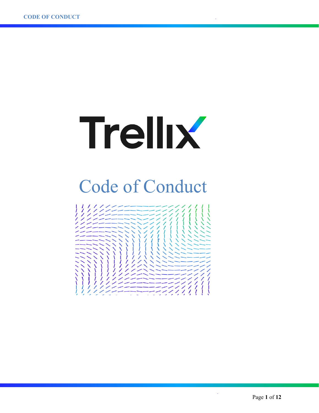

# Code of Conduct

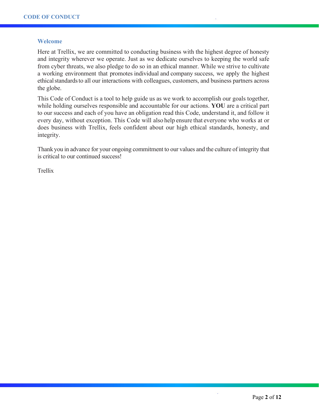#### **Welcome**

Here at Trellix, we are committed to conducting business with the highest degree of honesty and integrity wherever we operate. Just as we dedicate ourselves to keeping the world safe from cyber threats, we also pledge to do so in an ethical manner. While we strive to cultivate a working environment that promotes individual and company success, we apply the highest ethical standards to all our interactions with colleagues, customers, and business partners across the globe.

This Code of Conduct is a tool to help guide us as we work to accomplish our goals together, while holding ourselves responsible and accountable for our actions. **YOU** are a critical part to our success and each of you have an obligation read this Code, understand it, and follow it every day, without exception. This Code will also help ensure that everyone who works at or does business with Trellix, feels confident about our high ethical standards, honesty, and integrity.

Thank you in advance for your ongoing commitment to our values and the culture of integrity that is critical to our continued success!

Trellix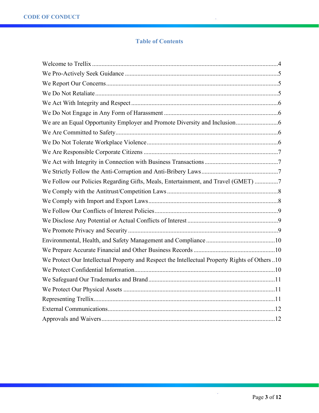## **Table of Contents**

| We Follow our Policies Regarding Gifts, Meals, Entertainment, and Travel (GMET) 7             |
|-----------------------------------------------------------------------------------------------|
|                                                                                               |
|                                                                                               |
|                                                                                               |
|                                                                                               |
|                                                                                               |
|                                                                                               |
|                                                                                               |
| We Protect Our Intellectual Property and Respect the Intellectual Property Rights of Others10 |
|                                                                                               |
|                                                                                               |
|                                                                                               |
|                                                                                               |
|                                                                                               |
|                                                                                               |

 $\frac{1}{2}$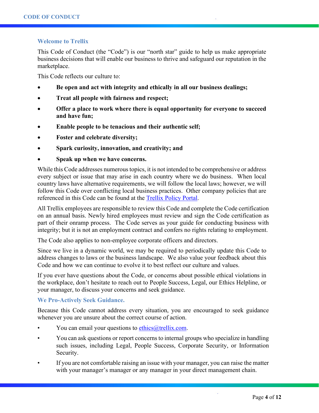## **Welcome to Trellix**

This Code of Conduct (the "Code") is our "north star" guide to help us make appropriate business decisions that will enable our business to thrive and safeguard our reputation in the marketplace.

This Code reflects our culture to:

- **Be open and act with integrity and ethically in all our business dealings;**
- **Treat all people with fairness and respect;**
- **Offer a place to work where there is equal opportunity for everyone to succeed and have fun;**
- **Enable people to be tenacious and their authentic self;**
- **Foster and celebrate diversity;**
- **Spark curiosity, innovation, and creativity; and**
- **Speak up when we have concerns.**

While this Code addresses numerous topics, it is not intended to be comprehensive or address every subject or issue that may arise in each country where we do business. When local country laws have alternative requirements, we will follow the local laws; however, we will follow this Code over conflicting local business practices. Other company policies that are referenced in this Code can be found at the [Trellix Policy Portal.](https://mcafee.sharepoint.com/sites/EnterpriseEthicsCompliance/SitePages/policies.aspx?SearchString=brand)

All Trellix employees are responsible to review this Code and complete the Code certification on an annual basis. Newly hired employees must review and sign the Code certification as part of their onramp process. The Code serves as your guide for conducting business with integrity; but it is not an employment contract and confers no rights relating to employment.

The Code also applies to non-employee corporate officers and directors.

Since we live in a dynamic world, we may be required to periodically update this Code to address changes to laws or the business landscape. We also value your feedback about this Code and how we can continue to evolve it to best reflect our culture and values.

If you ever have questions about the Code, or concerns about possible ethical violations in the workplace, don't hesitate to reach out to People Success, Legal, our Ethics Helpline, or your manager, to discuss your concerns and seek guidance.

## **We Pro-Actively Seek Guidance.**

Because this Code cannot address every situation, you are encouraged to seek guidance whenever you are unsure about the correct course of action.

- You can email your questions to [ethics@trellix.com.](mailto:ethics@trellix.com)
- You can ask questions or report concerns to internal groups who specialize in handling such issues, including Legal, People Success, Corporate Security, or Information Security.
- If you are not comfortable raising an issue with your manager, you can raise the matter with your manager's manager or any manager in your direct management chain.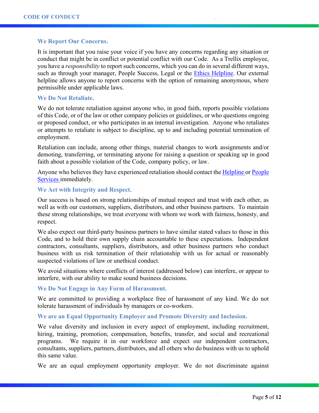#### **We Report Our Concerns.**

It is important that you raise your voice if you have any concerns regarding any situation or conduct that might be in conflict or potential conflict with our Code. As a Trellix employee, you have a *responsibility* to report such concerns, which you can do in several different ways, such as through your manager, People Success, Legal or the [Ethics Helpline.](https://www.trellix.com/ethics-help-line) Our external helpline allows anyone to report concerns with the option of remaining anonymous, where permissible under applicable laws.

#### **We Do Not Retaliate.**

We do not tolerate retaliation against anyone who, in good faith, reports possible violations of this Code, or of the law or other company policies or guidelines, or who questions ongoing or proposed conduct, or who participates in an internal investigation. Anyone who retaliates or attempts to retaliate is subject to discipline, up to and including potential termination of employment.

Retaliation can include, among other things, material changes to work assignments and/or demoting, transferring, or terminating anyone for raising a question or speaking up in good faith about a possible violation of the Code, company policy, or law.

Anyone who believes they have experienced retaliation should contact the [Helpline o](https://www.trellix.com/ethics-help-line)r [People](https://mcafeeprod.service-now.com/hrportal)  [Services i](https://mcafeeprod.service-now.com/hrportal)mmediately.

#### **We Act with Integrity and Respect.**

Our success is based on strong relationships of mutual respect and trust with each other, as well as with our customers, suppliers, distributors, and other business partners. To maintain these strong relationships, we treat everyone with whom we work with fairness, honesty, and respect.

We also expect our third-party business partners to have similar stated values to those in this Code, and to hold their own supply chain accountable to these expectations. Independent contractors, consultants, suppliers, distributors, and other business partners who conduct business with us risk termination of their relationship with us for actual or reasonably suspected violations of law or unethical conduct.

We avoid situations where conflicts of interest (addressed below) can interfere, or appear to interfere, with our ability to make sound business decisions.

**We Do Not Engage in Any Form of Harassment.** 

We are committed to providing a workplace free of harassment of any kind. We do not tolerate harassment of individuals by managers or co-workers.

#### **We are an Equal Opportunity Employer and Promote Diversity and Inclusion.**

We value diversity and inclusion in every aspect of employment, including recruitment, hiring, training, promotion, compensation, benefits, transfer, and social and recreational programs. We require it in our workforce and expect our independent contractors, consultants, suppliers, partners, distributors, and all others who do business with us to uphold this same value.

We are an equal employment opportunity employer. We do not discriminate against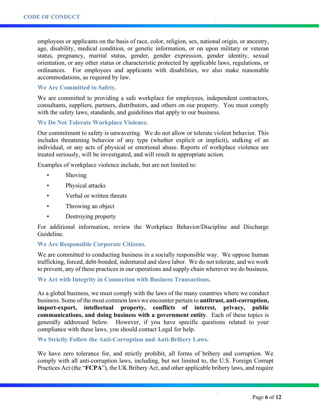employees or applicants on the basis of race, color, religion, sex, national origin, or ancestry, age, disability, medical condition, or genetic information, or on upon military or veteran status, pregnancy, marital status, gender, gender expression, gender identity, sexual orientation, or any other status or characteristic protected by applicable laws, regulations, or ordinances. For employees and applicants with disabilities, we also make reasonable accommodations, as required by law.

#### **We Are Committed to Safety.**

We are committed to providing a safe workplace for employees, independent contractors, consultants, suppliers, partners, distributors, and others on our property. You must comply with the safety laws, standards, and guidelines that apply to our business.

#### **We Do Not Tolerate Workplace Violence.**

Our commitment to safety is unwavering. We do not allow or tolerate violent behavior. This includes threatening behavior of any type (whether explicit or implicit), stalking of an individual, or any acts of physical or emotional abuse. Reports of workplace violence are treated seriously, will be investigated, and will result in appropriate action.

Examples of workplace violence include, but are not limited to:

- **Shoving**
- Physical attacks
- Verbal or written threats
- Throwing an object
- Destroying property

For additional information, review the Workplace Behavior/Discipline and Discharge Guideline.

#### **We Are Responsible Corporate Citizens.**

We are committed to conducting business in a socially responsible way. We oppose human trafficking, forced, debt-bonded, indentured and slave labor. We do not tolerate, and we work to prevent, any of these practices in our operations and supply chain wherever we do business.

#### **We Act with Integrity in Connection with Business Transactions.**

As a global business, we must comply with the laws of the many countries where we conduct business. Some of the most common laws we encounter pertain to **antitrust, anti-corruption, import-export, intellectual property, conflicts of interest, privacy, public communications, and doing business with a government entity**. Each of these topics is generally addressed below. However, if you have specific questions related to your compliance with these laws, you should contact Legal for help.

#### **We Strictly Follow the Anti-Corruption and Anti-Bribery Laws.**

We have zero tolerance for, and strictly prohibit, all forms of bribery and corruption. We comply with all anti-corruption laws, including, but not limited to, the U.S. Foreign Corrupt Practices Act (the "**FCPA**"), the UK Bribery Act, and other applicable bribery laws, and require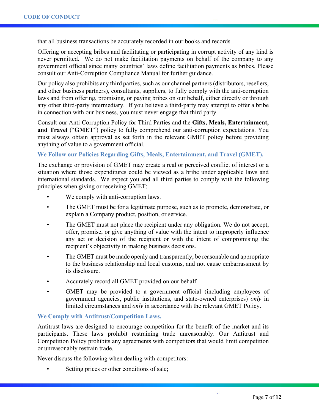that all business transactions be accurately recorded in our books and records.

Offering or accepting bribes and facilitating or participating in corrupt activity of any kind is never permitted. We do not make facilitation payments on behalf of the company to any government official since many countries' laws define facilitation payments as bribes. Please consult our Anti-Corruption Compliance Manual for further guidance.

Our policy also prohibits any third parties, such as our channel partners (distributors, resellers, and other business partners), consultants, suppliers, to fully comply with the anti-corruption laws and from offering, promising, or paying bribes on our behalf, either directly or through any other third-party intermediary. If you believe a third-party may attempt to offer a bribe in connection with our business, you must never engage that third party.

Consult our Anti-Corruption Policy for Third Parties and the **Gifts, Meals, Entertainment, and Travel** ("**GMET**") policy to fully comprehend our anti-corruption expectations. You must always obtain approval as set forth in the relevant GMET policy before providing anything of value to a government official.

### **We Follow our Policies Regarding Gifts, Meals, Entertainment, and Travel (GMET).**

The exchange or provision of GMET may create a real or perceived conflict of interest or a situation where those expenditures could be viewed as a bribe under applicable laws and international standards. We expect you and all third parties to comply with the following principles when giving or receiving GMET:

- We comply with anti-corruption laws.
- The GMET must be for a legitimate purpose, such as to promote, demonstrate, or explain a Company product, position, or service.
- The GMET must not place the recipient under any obligation. We do not accept, offer, promise, or give anything of value with the intent to improperly influence any act or decision of the recipient or with the intent of compromising the recipient's objectivity in making business decisions.
- The GMET must be made openly and transparently, be reasonable and appropriate to the business relationship and local customs, and not cause embarrassment by its disclosure.
- Accurately record all GMET provided on our behalf.
- GMET may be provided to a government official (including employees of government agencies, public institutions, and state-owned enterprises) *only* in limited circumstances and *only* in accordance with the relevant GMET Policy.

#### **We Comply with Antitrust/Competition Laws.**

Antitrust laws are designed to encourage competition for the benefit of the market and its participants. These laws prohibit restraining trade unreasonably. Our Antitrust and Competition Policy prohibits any agreements with competitors that would limit competition or unreasonably restrain trade.

Never discuss the following when dealing with competitors:

Setting prices or other conditions of sale;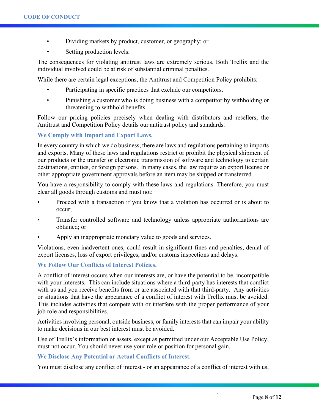- Dividing markets by product, customer, or geography; or
- Setting production levels.

The consequences for violating antitrust laws are extremely serious. Both Trellix and the individual involved could be at risk of substantial criminal penalties.

While there are certain legal exceptions, the Antitrust and Competition Policy prohibits:

- Participating in specific practices that exclude our competitors.
- Punishing a customer who is doing business with a competitor by withholding or threatening to withhold benefits.

Follow our pricing policies precisely when dealing with distributors and resellers, the Antitrust and Competition Policy details our antitrust policy and standards.

## **We Comply with Import and Export Laws.**

In every country in which we do business, there are laws and regulations pertaining to imports and exports. Many of these laws and regulations restrict or prohibit the physical shipment of our products or the transfer or electronic transmission of software and technology to certain destinations, entities, or foreign persons. In many cases, the law requires an export license or other appropriate government approvals before an item may be shipped or transferred.

You have a responsibility to comply with these laws and regulations. Therefore, you must clear all goods through customs and must not:

- Proceed with a transaction if you know that a violation has occurred or is about to occur;
- Transfer controlled software and technology unless appropriate authorizations are obtained; or
- Apply an inappropriate monetary value to goods and services.

Violations, even inadvertent ones, could result in significant fines and penalties, denial of export licenses, loss of export privileges, and/or customs inspections and delays.

## **We Follow Our Conflicts of Interest Policies.**

A conflict of interest occurs when our interests are, or have the potential to be, incompatible with your interests. This can include situations where a third-party has interests that conflict with us and you receive benefits from or are associated with that third-party. Any activities or situations that have the appearance of a conflict of interest with Trellix must be avoided. This includes activities that compete with or interfere with the proper performance of your job role and responsibilities.

Activities involving personal, outside business, or family interests that can impair your ability to make decisions in our best interest must be avoided.

Use of Trellix's information or assets, except as permitted under our Acceptable Use Policy, must not occur. You should never use your role or position for personal gain.

#### **We Disclose Any Potential or Actual Conflicts of Interest.**

You must disclose any conflict of interest - or an appearance of a conflict of interest with us,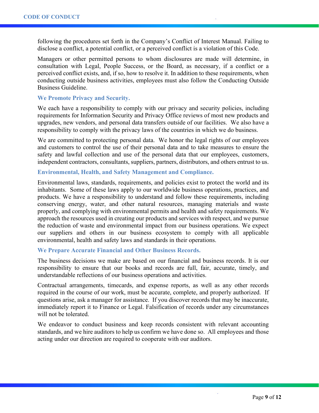following the procedures set forth in the Company's Conflict of Interest Manual. Failing to disclose a conflict, a potential conflict, or a perceived conflict is a violation of this Code.

Managers or other permitted persons to whom disclosures are made will determine, in consultation with Legal, People Success, or the Board, as necessary, if a conflict or a perceived conflict exists, and, if so, how to resolve it. In addition to these requirements, when conducting outside business activities, employees must also follow the Conducting Outside Business Guideline.

#### **We Promote Privacy and Security.**

We each have a responsibility to comply with our privacy and security policies, including requirements for Information Security and Privacy Office reviews of most new products and upgrades, new vendors, and personal data transfers outside of our facilities. We also have a responsibility to comply with the privacy laws of the countries in which we do business.

We are committed to protecting personal data. We honor the legal rights of our employees and customers to control the use of their personal data and to take measures to ensure the safety and lawful collection and use of the personal data that our employees, customers, independent contractors, consultants, suppliers, partners, distributors, and others entrust to us.

## **Environmental, Health, and Safety Management and Compliance.**

Environmental laws, standards, requirements, and policies exist to protect the world and its inhabitants. Some of these laws apply to our worldwide business operations, practices, and products. We have a responsibility to understand and follow these requirements, including conserving energy, water, and other natural resources, managing materials and waste properly, and complying with environmental permits and health and safety requirements. We approach the resources used in creating our products and services with respect, and we pursue the reduction of waste and environmental impact from our business operations. We expect our suppliers and others in our business ecosystem to comply with all applicable environmental, health and safety laws and standards in their operations.

### **We Prepare Accurate Financial and Other Business Records.**

The business decisions we make are based on our financial and business records. It is our responsibility to ensure that our books and records are full, fair, accurate, timely, and understandable reflections of our business operations and activities.

Contractual arrangements, timecards, and expense reports, as well as any other records required in the course of our work, must be accurate, complete, and properly authorized. If questions arise, ask a manager for assistance. If you discover records that may be inaccurate, immediately report it to Finance or Legal. Falsification of records under any circumstances will not be tolerated.

We endeavor to conduct business and keep records consistent with relevant accounting standards, and we hire auditors to help us confirm we have done so. All employees and those acting under our direction are required to cooperate with our auditors.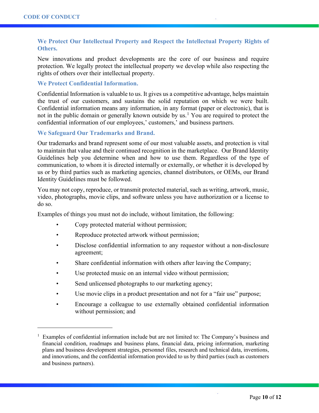## **We Protect Our Intellectual Property and Respect the Intellectual Property Rights of Others.**

New innovations and product developments are the core of our business and require protection. We legally protect the intellectual property we develop while also respecting the rights of others over their intellectual property.

## **We Protect Confidential Information.**

Confidential Information is valuable to us. It gives us a competitive advantage, helps maintain the trust of our customers, and sustains the solid reputation on which we were built. Confidential information means any information, in any format (paper or electronic), that is not in the public domain or generally known outside by us.<sup>[1](#page-9-0)</sup> You are required to protect the confidential information of our employees,' customers,' and business partners.

## **We Safeguard Our Trademarks and Brand.**

Our trademarks and brand represent some of our most valuable assets, and protection is vital to maintain that value and their continued recognition in the marketplace. Our Brand Identity Guidelines help you determine when and how to use them. Regardless of the type of communication, to whom it is directed internally or externally, or whether it is developed by us or by third parties such as marketing agencies, channel distributors, or OEMs, our Brand Identity Guidelines must be followed.

You may not copy, reproduce, or transmit protected material, such as writing, artwork, music, video, photographs, movie clips, and software unless you have authorization or a license to do so.

Examples of things you must not do include, without limitation, the following:

- Copy protected material without permission;
- Reproduce protected artwork without permission;
- Disclose confidential information to any requestor without a non-disclosure agreement;
- Share confidential information with others after leaving the Company;
- Use protected music on an internal video without permission;
- Send unlicensed photographs to our marketing agency;
- Use movie clips in a product presentation and not for a "fair use" purpose;
- Encourage a colleague to use externally obtained confidential information without permission; and

<span id="page-9-0"></span><sup>1</sup> Examples of confidential information include but are not limited to: The Company's business and financial condition, roadmaps and business plans, financial data, pricing information, marketing plans and business development strategies, personnel files, research and technical data, inventions, and innovations, and the confidential information provided to us by third parties (such as customers and business partners).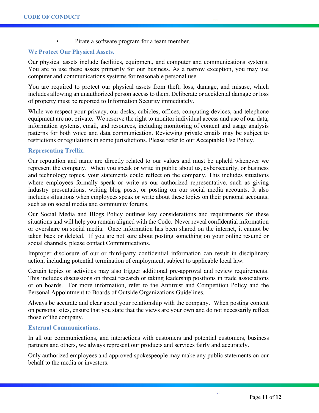Pirate a software program for a team member.

## **We Protect Our Physical Assets.**

Our physical assets include facilities, equipment, and computer and communications systems. You are to use these assets primarily for our business. As a narrow exception, you may use computer and communications systems for reasonable personal use.

You are required to protect our physical assets from theft, loss, damage, and misuse, which includes allowing an unauthorized person access to them. Deliberate or accidental damage or loss of property must be reported to Information Security immediately.

While we respect your privacy, our desks, cubicles, offices, computing devices, and telephone equipment are not private. We reserve the right to monitor individual access and use of our data, information systems, email, and resources, including monitoring of content and usage analysis patterns for both voice and data communication. Reviewing private emails may be subject to restrictions or regulations in some jurisdictions. Please refer to our Acceptable Use Policy.

#### **Representing Trellix.**

Our reputation and name are directly related to our values and must be upheld whenever we represent the company. When you speak or write in public about us, cybersecurity, or business and technology topics, your statements could reflect on the company. This includes situations where employees formally speak or write as our authorized representative, such as giving industry presentations, writing blog posts, or posting on our social media accounts. It also includes situations when employees speak or write about these topics on their personal accounts, such as on social media and community forums.

Our Social Media and Blogs Policy outlines key considerations and requirements for these situations and will help you remain aligned with the Code. Never reveal confidential information or overshare on social media. Once information has been shared on the internet, it cannot be taken back or deleted. If you are not sure about posting something on your online resumé or social channels, please contact Communications.

Improper disclosure of our or third-party confidential information can result in disciplinary action, including potential termination of employment, subject to applicable local law.

Certain topics or activities may also trigger additional pre-approval and review requirements. This includes discussions on threat research or taking leadership positions in trade associations or on boards. For more information, refer to the Antitrust and Competition Policy and the Personal Appointment to Boards of Outside Organizations Guidelines.

Always be accurate and clear about your relationship with the company. When posting content on personal sites, ensure that you state that the views are your own and do not necessarily reflect those of the company.

#### **External Communications.**

In all our communications, and interactions with customers and potential customers, business partners and others, we always represent our products and services fairly and accurately.

Only authorized employees and approved spokespeople may make any public statements on our behalf to the media or investors.